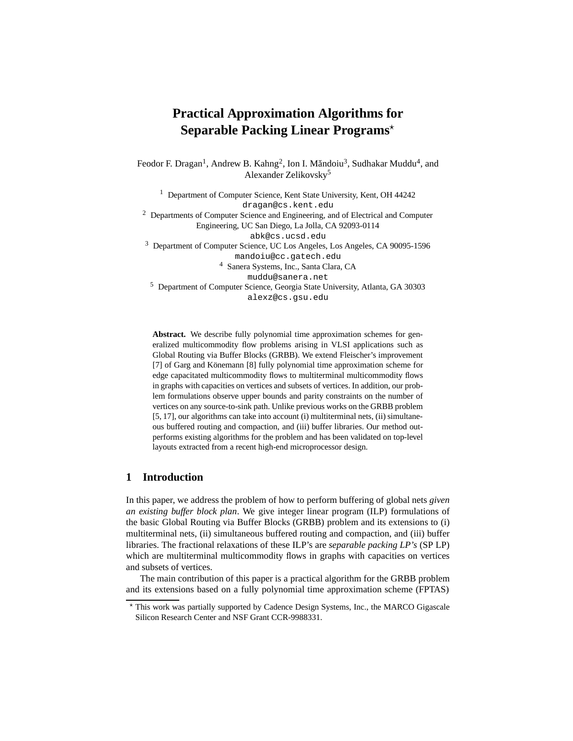# **Practical Approximation Algorithms for Separable Packing Linear Programs**?

Feodor F. Dragan<sup>1</sup>, Andrew B. Kahng<sup>2</sup>, Ion I. Măndoiu<sup>3</sup>, Sudhakar Muddu<sup>4</sup>, and Alexander Zelikovsky<sup>5</sup>

<sup>1</sup> Department of Computer Science, Kent State University, Kent, OH 44242 dragan@cs.kent.edu

<sup>2</sup> Departments of Computer Science and Engineering, and of Electrical and Computer Engineering, UC San Diego, La Jolla, CA 92093-0114 abk@cs.ucsd.edu

<sup>3</sup> Department of Computer Science, UC Los Angeles, Los Angeles, CA 90095-1596 mandoiu@cc.gatech.edu

<sup>4</sup> Sanera Systems, Inc., Santa Clara, CA

muddu@sanera.net

<sup>5</sup> Department of Computer Science, Georgia State University, Atlanta, GA 30303 alexz@cs.gsu.edu

**Abstract.** We describe fully polynomial time approximation schemes for generalized multicommodity flow problems arising in VLSI applications such as Global Routing via Buffer Blocks (GRBB). We extend Fleischer's improvement [7] of Garg and Könemann [8] fully polynomial time approximation scheme for edge capacitated multicommodity flows to multiterminal multicommodity flows in graphs with capacities on vertices and subsets of vertices. In addition, our problem formulations observe upper bounds and parity constraints on the number of vertices on any source-to-sink path. Unlike previous works on the GRBB problem [5, 17], our algorithms can take into account (i) multiterminal nets, (ii) simultaneous buffered routing and compaction, and (iii) buffer libraries. Our method outperforms existing algorithms for the problem and has been validated on top-level layouts extracted from a recent high-end microprocessor design.

# **1 Introduction**

In this paper, we address the problem of how to perform buffering of global nets *given an existing buffer block plan*. We give integer linear program (ILP) formulations of the basic Global Routing via Buffer Blocks (GRBB) problem and its extensions to (i) multiterminal nets, (ii) simultaneous buffered routing and compaction, and (iii) buffer libraries. The fractional relaxations of these ILP's are *separable packing LP's* (SP LP) which are multiterminal multicommodity flows in graphs with capacities on vertices and subsets of vertices.

The main contribution of this paper is a practical algorithm for the GRBB problem and its extensions based on a fully polynomial time approximation scheme (FPTAS)

<sup>?</sup> This work was partially supported by Cadence Design Systems, Inc., the MARCO Gigascale Silicon Research Center and NSF Grant CCR-9988331.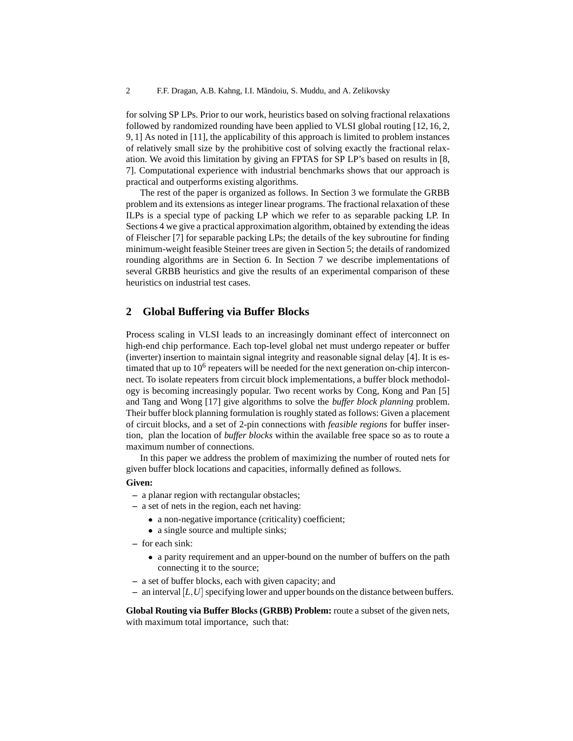for solving SP LPs. Prior to our work, heuristics based on solving fractional relaxations followed by randomized rounding have been applied to VLSI global routing [12, 16, 2, 9, 1] As noted in [11], the applicability of this approach is limited to problem instances of relatively small size by the prohibitive cost of solving exactly the fractional relaxation. We avoid this limitation by giving an FPTAS for SP LP's based on results in [8, 7]. Computational experience with industrial benchmarks shows that our approach is practical and outperforms existing algorithms.

The rest of the paper is organized as follows. In Section 3 we formulate the GRBB problem and its extensions as integer linear programs. The fractional relaxation of these ILPs is a special type of packing LP which we refer to as separable packing LP. In Sections 4 we give a practical approximation algorithm, obtained by extending the ideas of Fleischer [7] for separable packing LPs; the details of the key subroutine for finding minimum-weight feasible Steiner trees are given in Section 5; the details of randomized rounding algorithms are in Section 6. In Section 7 we describe implementations of several GRBB heuristics and give the results of an experimental comparison of these heuristics on industrial test cases.

# **2 Global Buffering via Buffer Blocks**

Process scaling in VLSI leads to an increasingly dominant effect of interconnect on high-end chip performance. Each top-level global net must undergo repeater or buffer (inverter) insertion to maintain signal integrity and reasonable signal delay [4]. It is estimated that up to  $10<sup>6</sup>$  repeaters will be needed for the next generation on-chip interconnect. To isolate repeaters from circuit block implementations, a buffer block methodology is becoming increasingly popular. Two recent works by Cong, Kong and Pan [5] and Tang and Wong [17] give algorithms to solve the *buffer block planning* problem. Their buffer block planning formulation is roughly stated as follows: Given a placement of circuit blocks, and a set of 2-pin connections with *feasible regions* for buffer insertion, plan the location of *buffer blocks* within the available free space so as to route a maximum number of connections.

In this paper we address the problem of maximizing the number of routed nets for given buffer block locations and capacities, informally defined as follows.

#### **Given:**

- **–** a planar region with rectangular obstacles;
- **–** a set of nets in the region, each net having:
	- a non-negative importance (criticality) coefficient;
	- a single source and multiple sinks;
- **–** for each sink:
	- a parity requirement and an upper-bound on the number of buffers on the path connecting it to the source;
- **–** a set of buffer blocks, each with given capacity; and
- **–** an interval [*L*; *U* ] specifying lower and upper bounds on the distance between buffers.

**Global Routing via Buffer Blocks (GRBB) Problem:** route a subset of the given nets, with maximum total importance, such that: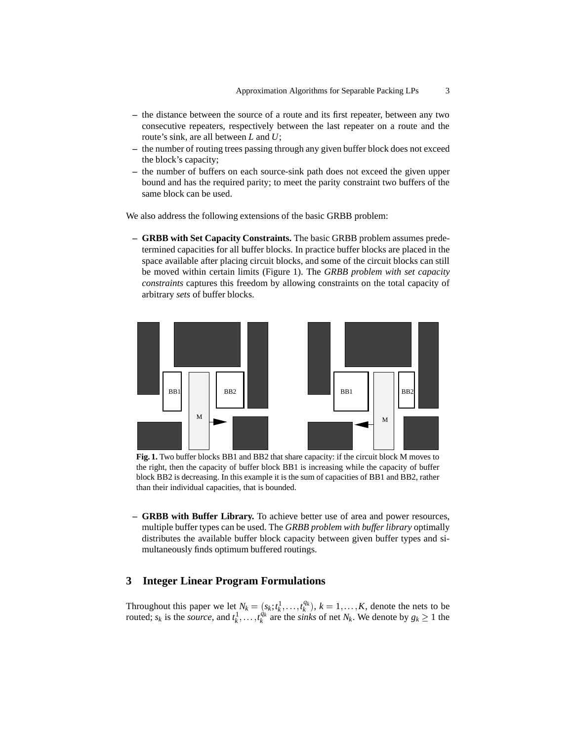- **–** the distance between the source of a route and its first repeater, between any two consecutive repeaters, respectively between the last repeater on a route and the route's sink, are all between *L* and *U*;
- **–** the number of routing trees passing through any given buffer block does not exceed the block's capacity;
- **–** the number of buffers on each source-sink path does not exceed the given upper bound and has the required parity; to meet the parity constraint two buffers of the same block can be used.

We also address the following extensions of the basic GRBB problem:

**– GRBB with Set Capacity Constraints.** The basic GRBB problem assumes predetermined capacities for all buffer blocks. In practice buffer blocks are placed in the space available after placing circuit blocks, and some of the circuit blocks can still be moved within certain limits (Figure 1). The *GRBB problem with set capacity constraints* captures this freedom by allowing constraints on the total capacity of arbitrary *sets* of buffer blocks.



**Fig. 1.** Two buffer blocks BB1 and BB2 that share capacity: if the circuit block M moves to the right, then the capacity of buffer block BB1 is increasing while the capacity of buffer block BB2 is decreasing. In this example it is the sum of capacities of BB1 and BB2, rather than their individual capacities, that is bounded.

**– GRBB with Buffer Library.** To achieve better use of area and power resources, multiple buffer types can be used. The *GRBB problem with buffer library* optimally distributes the available buffer block capacity between given buffer types and simultaneously finds optimum buffered routings.

# **3 Integer Linear Program Formulations**

Throughout this paper we let  $N_k = (s_k; t_k^1, \ldots, t_k^{q_k})$ ,  $k = 1, \ldots, K$ , denote the nets to be routed;  $s_k$  is the *source*, and  $t_k^1, \ldots, t_k^{q_k}$  are the *sinks* of net  $N_k$ . We denote by  $g_k \ge 1$  the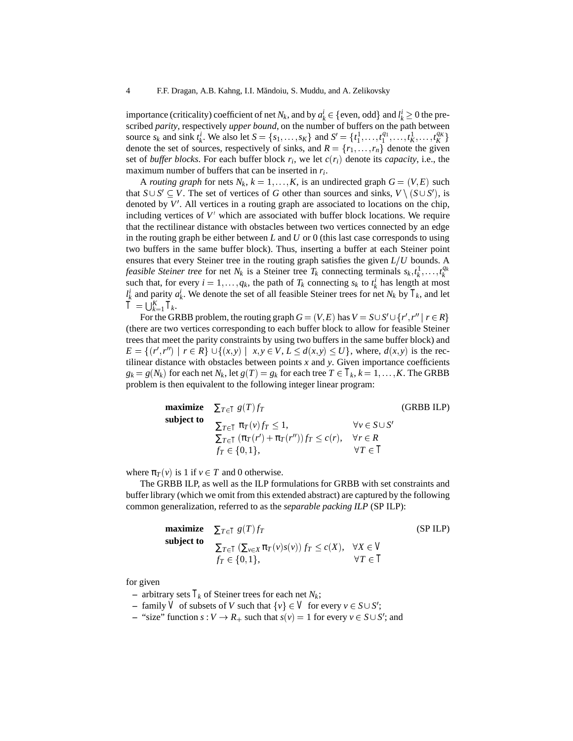importance (criticality) coefficient of net  $N_k$ , and by  $a_k^i \in \{$  even, odd $\}$  and  $l_k^i \geq 0$  the preimportance (criticality) coefficient of net  $N_k$ , and by  $a_k^j \in \{\text{even, odd}\}\$  and  $l_k^j \ge 0$  the pre-<br>scribed *parity*, respectively *upper bound*, on the number of buffers on the path between<br>source  $s_k$  and sink  $t_k^i$ . We scribed *parity*, respectively *upper bound*, on the number of buffers on the path between denote the set of sources, respectively of sinks, and  $R = \{r_1, \ldots, r_n\}$  denote the given set of *buffer blocks*. For each buffer block  $r_i$ , we let  $c(r_i)$  denote its *capacity*, i.e., the maximum number of buffers that can be inserted in *ri*.

A *routing graph* for nets  $N_k$ ,  $k = 1, \ldots, K$ , is an undirected graph  $G = (V, E)$  such that  $S \cup S' \subseteq V$ . The set of vertices of *G* other than sources and sinks,  $V \setminus (S \cup S')$ , is denoted by  $V'$ . All vertices in a routing graph are associated to locations on the chip, including vertices of  $V'$  which are associated with buffer block locations. We require that the rectilinear distance with obstacles between two vertices connected by an edge in the routing graph be either between *L* and *U* or 0 (this last case corresponds to using two buffers in the same buffer block). Thus, inserting a buffer at each Steiner point ensures that every Steiner tree in the routing graph satisfies the given  $L/U$  bounds. A *feasible Steiner tree* for net  $N_k$  is a Steiner tree  $T_k$  connecting terminals  $s_k, t_k^1, \ldots, t_k^{q_k}$ such that, for every  $i = 1, ..., q_k$ , the path of  $T_k$  connecting  $s_k$  to  $t_k^i$  has length at most  $l_k^i$  and parity  $a_k^i$ . We denote the set of all feasible Steiner trees for net *N<sub>k</sub>* by  $T_k$ , and let  $\ddot{T} = \bigcup_{k=1}^K T_k$ .

For the GRBB problem, the routing graph  $G = (V, E)$  has  $V = S \cup S' \cup \{r', r'' \mid r \in R\}$  $\cup S' \cup \{r', r'' \mid r \in R\}$ <br> *r* for feasible Steiner<br>
me buffer block) and (there are two vertices corresponding to each buffer block to allow for feasible Steiner trees that meet the parity constraints by using two buffers in the same buffer block) and  $E = \{(r', r'') \mid r \in R\} \cup \{(x, y) \mid x, y \in V, L \le d(x, y) \le U\}$ , where,  $d(x, y)$  is the rec-<br>tilinear distance with obstacles between points x and y. Given importance coefficients<br> $g_k = g(N_k)$  for each net  $N_k$ , let  $g(T) = g_k$  for each tree tilinear distance with obstacles between points  $x$  and  $y$ . Given importance coefficients problem is then equivalent to the following integer linear program:

|            | <b>maximize</b> $\sum_{T \in T} g(T) f_T$                                                                                  |                                                                     | (GRBB ILP) |
|------------|----------------------------------------------------------------------------------------------------------------------------|---------------------------------------------------------------------|------------|
| subject to | $\sum_{T \in T} \pi_T(v) f_T \leq 1$ ,<br>$\sum_{T \in T} (\pi_T(r') + \pi_T(r'')) f_T \leq c(r)$ ,<br>$f_T \in \{0,1\},\$ | $\forall v \in S \cup S'$<br>$\forall r \in R$<br>$\forall T \in T$ |            |
|            | (v) is 1 if $v \in T$ and 0 otherwise.<br><b>PPP 11 11 11 11</b>                                                           |                                                                     |            |

where  $\pi_T(v)$  is 1 if  $v \in T$  and 0 otherwise.

The GRBB ILP, as well as the ILP formulations for GRBB with set constraints and buffer library (which we omit from this extended abstract) are captured by the following common generalization, referred to as the *separable packing ILP* (SP ILP):

maximize 
$$
\sum_{T \in T} g(T) f_T
$$
 (SP ILP)  
\nsubject to  
\n
$$
\sum_{T \in T} (\sum_{v \in X} \pi_T(v) s(v)) f_T \le c(X), \quad \forall X \in V
$$
\n
$$
f_T \in \{0, 1\}, \qquad \forall T \in T
$$

for given

- $-$  arbitrary sets  $T_k$  of Steiner trees for each net  $N_k$ ;
- $-$  family V of subsets of V such that  $\{v\} \in V$  for every  $v \in S \cup S'$ ;
- { $v$ }  $\in$  *V* for every  $v \in S \cup S'$ ;<br>at  $s(v) = 1$  for every  $v \in S \cup S'$ ; and  $\bullet$  "size" function  $s: V \to R_+$  such that  $s(v) = 1$  for every  $v \in S \cup S'$ ; and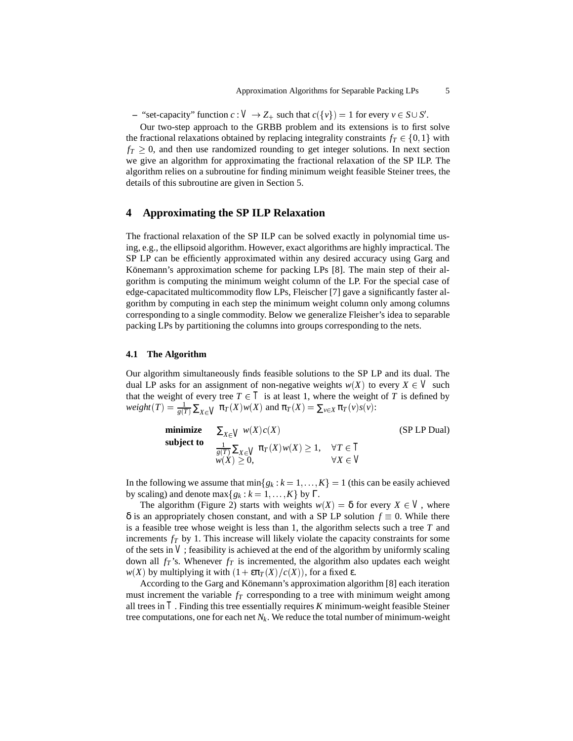$-$  "set-capacity" function  $c: V \to Z_+$  such that  $c({v}) = 1$  for every  $v \in S \cup S'.$ 

Our two-step approach to the GRBB problem and its extensions is to first solve the fractional relaxations obtained by replacing integrality constraints  $f_T \in \{0,1\}$  with  $\in \{0, 1\}$  with<br>next section<br>SP ILP. The  $f_T \geq 0$ , and then use randomized rounding to get integer solutions. In next section we give an algorithm for approximating the fractional relaxation of the SP ILP. The algorithm relies on a subroutine for finding minimum weight feasible Steiner trees, the details of this subroutine are given in Section 5.

## **4 Approximating the SP ILP Relaxation**

The fractional relaxation of the SP ILP can be solved exactly in polynomial time using, e.g., the ellipsoid algorithm. However, exact algorithms are highly impractical. The SP LP can be efficiently approximated within any desired accuracy using Garg and Könemann's approximation scheme for packing LPs [8]. The main step of their algorithm is computing the minimum weight column of the LP. For the special case of edge-capacitated multicommodity flow LPs, Fleischer [7] gave a significantly faster algorithm by computing in each step the minimum weight column only among columns corresponding to a single commodity. Below we generalize Fleisher's idea to separable packing LPs by partitioning the columns into groups corresponding to the nets.

#### **4.1 The Algorithm**

Our algorithm simultaneously finds feasible solutions to the SP LP and its dual. The dual LP asks for an assignment of non-negative weights  $w(X)$  to every  $X \in V$  such that the weight of every tree  $T \in T$  is at least 1, where the weight of  $T$  is defined by  $weight(T) = \frac{1}{g(T)} \sum_{X \in V} \pi_T(X) w(X)$  and  $\pi_T(X) = \sum_{v \in X} \pi_T(v) s(v)$ :

|            | <b>minimize</b> $\sum_{X \in V} w(X)c(X)$                                             |                   | (SP LP Dual) |
|------------|---------------------------------------------------------------------------------------|-------------------|--------------|
| subject to | $\frac{1}{g(T)}\sum_{X\in V}\pi_T(X)w(X)\geq 1, \quad \forall T\in T$<br>$w(X) > 0$ , | $\forall X \in V$ |              |

In the following we assume that  $min{g_k : k = 1,..., K} = 1$  (this can be easily achieved by scaling) and denote max $\{g_k : k = 1, \ldots, K\}$  by  $\Gamma$ .

The algorithm (Figure 2) starts with weights  $w(X) = \delta$  for every  $X \in V$ , where  $\delta$  is an appropriately chosen constant, and with a SP LP solution  $f \equiv 0$ . While there is a feasible tree whose weight is less than 1, the algorithm selects such a tree *T* and increments  $f_T$  by 1. This increase will likely violate the capacity constraints for some of the sets in  $V$ ; feasibility is achieved at the end of the algorithm by uniformly scaling down all  $f_T$ 's. Whenever  $f_T$  is incremented, the algorithm also updates each weight *w*(*X*) by multiplying it with  $(1 + \varepsilon \pi_T(X)/c(X))$ , for a fixed ε.

According to the Garg and Könemann's approximation algorithm [8] each iteration must increment the variable  $f<sub>T</sub>$  corresponding to a tree with minimum weight among all trees in *T* . Finding this tree essentially requires *K* minimum-weight feasible Steiner tree computations, one for each net  $N_k$ . We reduce the total number of minimum-weight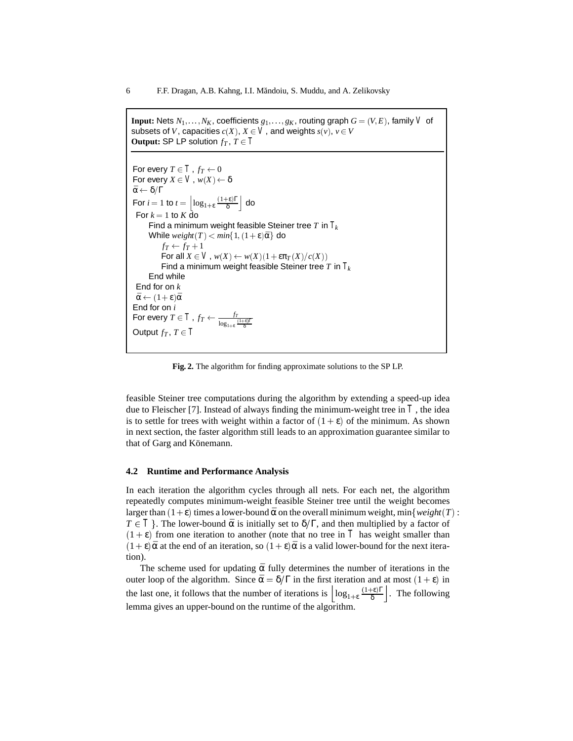```
Input: Nets N_1, \ldots, N_K, coefficients g_1, \ldots, g_K, routing graph G = (V, E), family V of
subsets of V, capacities c(X), X \in V, and weights s(v), v \in VOutput: SP LP solution f_T, T \in T
```

```
For every T\in T , f_T\leftarrow 0For every X \in V, w(X) \leftarrow \delta\bar{\alpha} \leftarrow \delta/\GammaFor i = 1 to t = \left| \log_{1+\epsilon} \frac{(1+\epsilon)\Gamma}{\delta} \right| do
 For k = 1 to K do
      Find a minimum weight feasible Steiner tree T in Tk
      While weight(T) < min\{1, (1+\varepsilon)\bar{\alpha}\} do
            f_T \leftarrow f_T + 1For all X \in V, w(X) \leftarrow w(X)(1+\epsilon \pi_T(X)/c(X))Find a minimum weight feasible Steiner tree T in Tk
      End while
 End for on k
 \bar{\alpha} \leftarrow (1+\epsilon)\bar{\alpha}End for on i
For every T \in T , f_T \leftarrow \frac{f_T}{\log_{1+\varepsilon} \frac{[1+\varepsilon]\Gamma}{\delta}}Output f_T, T \in T
```
**Fig. 2.** The algorithm for finding approximate solutions to the SP LP.

feasible Steiner tree computations during the algorithm by extending a speed-up idea due to Fleischer [7]. Instead of always finding the minimum-weight tree in  $\overline{T}$ , the idea is to settle for trees with weight within a factor of  $(1 + \varepsilon)$  of the minimum. As shown in next section, the faster algorithm still leads to an approximation guarantee similar to that of Garg and Könemann.

#### **4.2 Runtime and Performance Analysis**

In each iteration the algorithm cycles through all nets. For each net, the algorithm repeatedly computes minimum-weight feasible Steiner tree until the weight becomes larger than  $(1+\varepsilon)$  times a lower-bound  $\bar{\alpha}$  on the overall minimum weight, min $\{weight(T) :$ *T*  $\in$  *T* }. The lower-bound  $\bar{\alpha}$  is initially set to  $\delta/\Gamma$ , and then multiplied by a factor of  $(1 + \varepsilon)$  from one iteration to another (note that no tree in T has weight smaller than  $(1 + \varepsilon)\bar{\alpha}$  at the end of an iteration, so  $(1 + \varepsilon)\bar{\alpha}$  is a valid lower-bound for the next iteration).

The scheme used for updating  $\bar{\alpha}$  fully determines the number of iterations in the outer loop of the algorithm. Since  $\bar{\alpha} = \delta/\Gamma$  in the first iteration and at most  $(1 + \epsilon)$  in the last one, it follows that the number of iterations is  $\left|\log_{1+\epsilon}\frac{(1+\epsilon)\Gamma}{\delta}\right|$ . The following lemma gives an upper-bound on the runtime of the algorithm.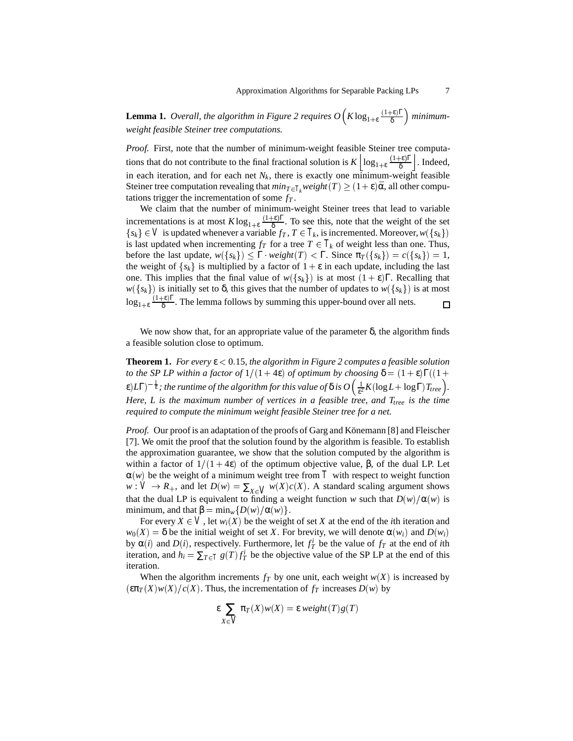**Lemma 1.** *Overall, the algorithm in Figure 2 requires*  $O(K \log_{1+\epsilon} \frac{(1+\epsilon)\Gamma}{\delta})$  *minimumweight feasible Steiner tree computations.*

*Proof.* First, note that the number of minimum-weight feasible Steiner tree computations that do not contribute to the final fractional solution is  $K\left|\log_{1+\epsilon}\frac{(1+\epsilon)\Gamma}{\delta}\right|$ . Indeed, in each iteration, and for each net  $N_k$ , there is exactly one minimum-weight feasible Steiner tree computation revealing that  $min_{T \in T_k} weight(T) \geq (1+\epsilon)\bar{\alpha}$ , all other computations trigger the incrementation of some  $f_T$ .

We claim that the number of minimum-weight Steiner trees that lead to variable incrementations is at most  $K \log_{1+\epsilon} \frac{(1+\epsilon)\Gamma}{\delta}$ . To see this, note that the weight of the set *{sk}* ∈ *V* is updated whenever a variable *f<sub>T</sub>*, *T* ∈ *T<sub>k</sub>*, is incremented. Moreover, *w*({*sk}*) is last updated when incrementing *f<sub>T</sub>* for a tree *T* ∈ *T<sub>k</sub>* of weight less than one. Thus, before the last upda is last updated when incrementing  $f_T$  for a tree  $T \in T_k$  of weight less than one. Thus, before the last update,  $w({s_k}) \leq \Gamma$  *weight* $(T) < \Gamma$ . Since  $\pi_T({s_k}) = c({s_k}) = 1$ , the weight of  $\{s_k\}$  is multiplied by a factor of  $1 + \varepsilon$  in each update, including the last one. This implies that the final value of  $w({s_k})$  is at most  $(1 + \varepsilon)\Gamma$ . Recalling that *w*({*s<sub>k</sub>*}) is initially set to δ, this gives that the number of updates to *w*({*s<sub>k</sub>*}) is at most  $\log_{1+\epsilon} \frac{(1+\epsilon)\Gamma}{\delta}$ . The lemma follows by summing this upper-bound over all nets.  $\Box$ 

We now show that, for an appropriate value of the parameter  $\delta$ , the algorithm finds a feasible solution close to optimum.

**Theorem 1.** *For every*  $\varepsilon$  < 0.15*, the algorithm in Figure 2 computes a feasible solution to the SP LP within a factor of*  $1/(1 + 4\varepsilon)$  *of optimum by choosing*  $\delta = (1 + \varepsilon)\Gamma((1 +$  $\epsilon$ ) $L\Gamma)^{-\frac{1}{\epsilon}}$ ; the runtime of the algorithm for this value of  $\delta$  is  $O\left(\frac{1}{\epsilon^2}K(\log L + \log \Gamma)T_{tree}\right)$ . *Here, L is the maximum number of vertices in a feasible tree, and T<sub>tree</sub> is the time required to compute the minimum weight feasible Steiner tree for a net.*

Proof. Our proof is an adaptation of the proofs of Garg and Könemann [8] and Fleischer [7]. We omit the proof that the solution found by the algorithm is feasible. To establish the approximation guarantee, we show that the solution computed by the algorithm is within a factor of  $1/(1 + 4ε)$  of the optimum objective value, β, of the dual LP. Let  $\alpha(w)$  be the weight of a minimum weight tree from T with respect to weight function  $w: V \to R_+$ , and let  $D(w) = \sum_{X \in V} w(X)c(X)$ . A standard scaling argument shows that the dual LP is equivalent to finding a weight function *w* such that  $D(w)/\alpha(w)$  is minimum, and that  $\beta = \min_{w} \{D(w)/\alpha(w)\}.$ 

For every  $X \in V$ , let  $w_i(X)$  be the weight of set X at the end of the *i*th iteration and  $w_0(X) = \delta$  be the initial weight of set *X*. For brevity, we will denote  $\alpha(w_i)$  and  $D(w_i)$ by  $\alpha(i)$  and  $D(i)$ , respectively. Furthermore, let  $f_T^i$  be the value of  $f_T$  at the end of *i*th iteration, and  $h_i = \sum_{T \in T} g(T) f_T^i$  be the objective value of the SP LP at the end of this iteration.

When the algorithm increments  $f_T$  by one unit, each weight  $w(X)$  is increased by  $(\epsilon \pi T(X)w(X)/c(X)$ . Thus, the incrementation of  $f_T$  increases  $D(w)$  by

$$
\varepsilon \sum_{X \in V} \pi_T(X) w(X) = \varepsilon \, weight(T) g(T)
$$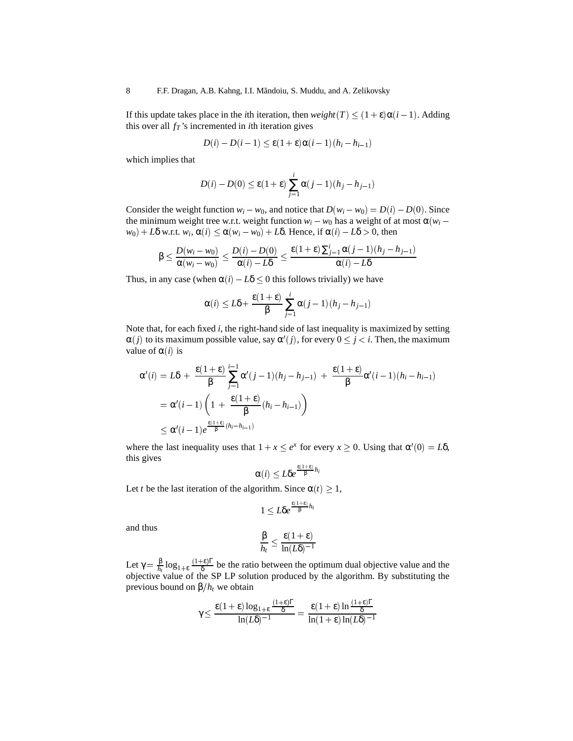If this update takes place in the *i*th iteration, then  $weight(T) \leq (1 + \varepsilon)\alpha(i - 1)$ . Adding this over all  $f_T$ 's incremented in *i*th iteration gives

$$
D(i) - D(i-1) \le \varepsilon (1+\varepsilon)\alpha(i-1)(h_i - h_{i-1})
$$

which implies that

$$
D(i) - D(0) \le \varepsilon (1 + \varepsilon) \sum_{j=1}^{i} \alpha (j - 1)(h_j - h_{j-1})
$$

Consider the weight function  $w_i - w_0$ , and notice that  $D(w_i - w_0) = D(i) - D(0)$ . Since the minimum weight tree w.r.t. weight function  $w_i - w_0$  has a weight of at most  $\alpha(w_i$ *w*<sub>0</sub>) + *L*δ w.r.t. *w<sub>i</sub>*,  $\alpha$ (*i*)  $\leq$   $\alpha$ (*w<sub>i</sub>* – *w*<sub>0</sub>) + *L*δ. Hence, if  $\alpha$ (*i*) – *L*δ > 0, then

$$
\beta \le \frac{D(w_i - w_0)}{\alpha(w_i - w_0)} \le \frac{D(i) - D(0)}{\alpha(i) - L\delta} \le \frac{\varepsilon(1 + \varepsilon) \sum_{j=1}^{i} \alpha(j-1)(h_j - h_{j-1})}{\alpha(i) - L\delta}
$$

Thus, in any case (when  $\alpha(i) - L\delta \leq 0$  this follows trivially) we have

$$
\alpha(i) \leq L\delta + \frac{\varepsilon(1+\varepsilon)}{\beta} \sum_{j=1}^i \alpha(j-1)(h_j - h_{j-1})
$$

Note that, for each fixed *i*, the right-hand side of last inequality is maximized by setting  $\alpha(j)$  to its maximum possible value, say  $\alpha'(j)$ , for every  $0 \le j < i$ . Then, the maximum value of  $\alpha(i)$  is

$$
\alpha'(i) = L\delta + \frac{\varepsilon(1+\varepsilon)}{\beta} \sum_{j=1}^{i-1} \alpha'(j-1)(h_j - h_{j-1}) + \frac{\varepsilon(1+\varepsilon)}{\beta} \alpha'(i-1)(h_i - h_{i-1})
$$
  
=  $\alpha'(i-1) \left(1 + \frac{\varepsilon(1+\varepsilon)}{\beta}(h_i - h_{i-1})\right)$   
 $\leq \alpha'(i-1)e^{\frac{\varepsilon(1+\varepsilon)}{\beta}(h_i - h_{i-1})}$ 

where the last inequality uses that  $1 + x \le e^x$  for every  $x \ge 0$ . Using that  $\alpha'(0) = L\delta$ , this gives

$$
\alpha(i) \leq L \delta e^{\frac{\epsilon(1+\epsilon)}{\beta}h_i}
$$

Let *t* be the last iteration of the algorithm. Since  $\alpha(t) \geq 1$ ,

$$
1 \leq L\delta e^{\frac{\varepsilon(1+\varepsilon)}{\beta}h_t}
$$

and thus

$$
\frac{\beta}{h_t} \le \frac{\varepsilon(1+\varepsilon)}{\ln(L\delta)^{-1}}
$$

Let  $\gamma = \frac{\beta}{h_t} \log_{1+\epsilon} \frac{(1+\epsilon)\Gamma}{\delta}$  be the ratio between the optimum dual objective value and the objective value of the SP LP solution produced by the algorithm. By substituting the previous bound on  $\beta/h_t$  we obtain

$$
\gamma \!\leq\! \frac{\epsilon(1+\epsilon)\log_{1+\epsilon}\frac{(1+\epsilon)\Gamma}{\delta}}{\ln(L\delta)^{-1}} = \frac{\epsilon(1+\epsilon)\ln\frac{(1+\epsilon)\Gamma}{\delta}}{\ln(1+\epsilon)\ln(L\delta)^{-1}}
$$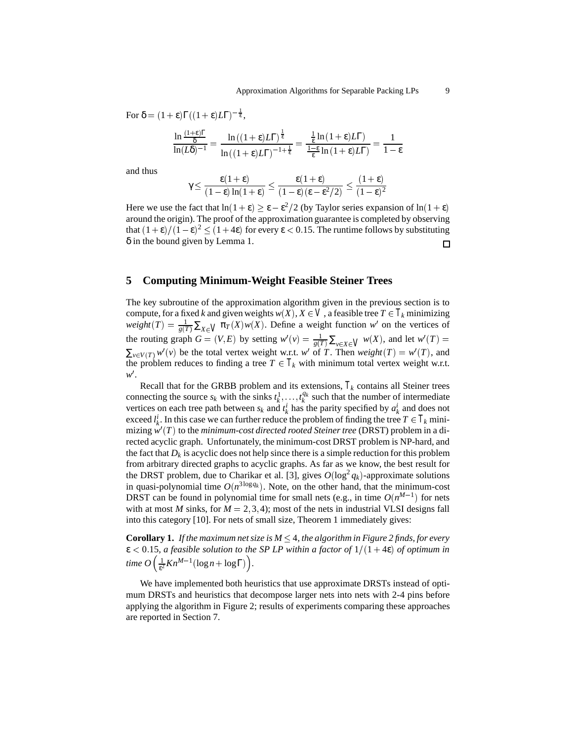For  $\delta = (1 + \varepsilon)\Gamma((1 + \varepsilon)L\Gamma)^{-\frac{1}{\varepsilon}},$ 

$$
\frac{\ln \frac{(1+\epsilon)\Gamma}{\delta}}{\ln(L\delta)^{-1}} = \frac{\ln \left((1+\epsilon)L\Gamma\right)^{\frac{1}{\epsilon}}}{\ln \left((1+\epsilon)L\Gamma\right)^{-1+\frac{1}{\epsilon}}} = \frac{\frac{1}{\epsilon}\ln\left(1+\epsilon)L\Gamma\right)}{\frac{1-\epsilon}{\epsilon}\ln\left(1+\epsilon)L\Gamma\right)} = \frac{1}{1-\epsilon}
$$

and thus

$$
\gamma \leq \frac{\epsilon(1+\epsilon)}{(1-\epsilon)\ln(1+\epsilon)} \leq \frac{\epsilon(1+\epsilon)}{(1-\epsilon)(\epsilon-\epsilon^2/2)} \leq \frac{(1+\epsilon)}{(1-\epsilon)^2}
$$

Here we use the fact that  $ln(1 + \epsilon) \ge \epsilon - \epsilon^2/2$  (by Taylor series expansion of  $ln(1 + \epsilon)$ around the origin). The proof of the approximation guarantee is completed by observing that  $(1+\epsilon)/(1-\epsilon)^2 \le (1+4\epsilon)$  for every  $\epsilon < 0.15$ . The runtime follows by substituting δ in the bound given by Lemma 1. 口

#### **5 Computing Minimum-Weight Feasible Steiner Trees**

The key subroutine of the approximation algorithm given in the previous section is to compute, for a fixed *k* and given weights  $w(X), X \in V$ , a feasible tree  $T \in T_k$  minimizing  $weight(T) = \frac{1}{g(T)} \sum_{X \in V} \pi_T(X) w(X)$ . Define a weight function *w*<sup>1</sup> on the vertices of the routing graph  $G = (V, E)$  by setting  $w'(v) = \frac{1}{g(T)} \sum_{v \in X \in V} w(X)$ , and let  $w'(T) =$  $\sum_{v \in V(T)} w'(v)$  be the total vertex weight w.r.t. *w*<sup>1</sup> of *T*. Then *weight*  $(T) = w'(T)$ , and the problem reduces to finding a tree  $T \in T_k$  with minimum total vertex weight w.r.t. *w'*.

Recall that for the GRBB problem and its extensions,  $T_k$  contains all Steiner trees connecting the source  $s_k$  with the sinks  $t_k^1, \ldots, t_k^{q_k}$  such that the number of intermediate vertices on each tree path between  $s_k$  and  $t_k^i$  has the parity specified by  $a_k^i$  and does not exceed  $l_k^i$ . In this case we can further reduce the problem of finding the tree  $T \in T_k$  minimizing  $w'(T)$  to the *minimum-cost directed rooted Steiner tree* (DRST) problem in a directed acyclic graph. Unfortunately, the minimum-cost DRST problem is NP-hard, and the fact that  $D_k$  is acyclic does not help since there is a simple reduction for this problem from arbitrary directed graphs to acyclic graphs. As far as we know, the best result for the DRST problem, due to Charikar et al. [3], gives  $O(\log^2 q_k)$ -approximate solutions in quasi-polynomial time  $O(n^{3\log q_k})$ . Note, on the other hand, that the minimum-cost DRST can be found in polynomial time for small nets (e.g., in time  $O(n^{M-1})$  for nets with at most *M* sinks, for  $M = 2, 3, 4$ ; most of the nets in industrial VLSI designs fall into this category [10]. For nets of small size, Theorem 1 immediately gives:

**Corollary 1.** If the maximum net size is  $M \leq 4$ , the algorithm in Figure 2 finds, for every  $\varepsilon$  < 0.15*, a feasible solution to the SP LP within a factor of*  $1/(1 + 4\varepsilon)$  *of optimum in time*  $O\left(\frac{1}{\epsilon^2}Kn^{M-1}(\log n + \log \Gamma)\right)$ *.* 

We have implemented both heuristics that use approximate DRSTs instead of optimum DRSTs and heuristics that decompose larger nets into nets with 2-4 pins before applying the algorithm in Figure 2; results of experiments comparing these approaches are reported in Section 7.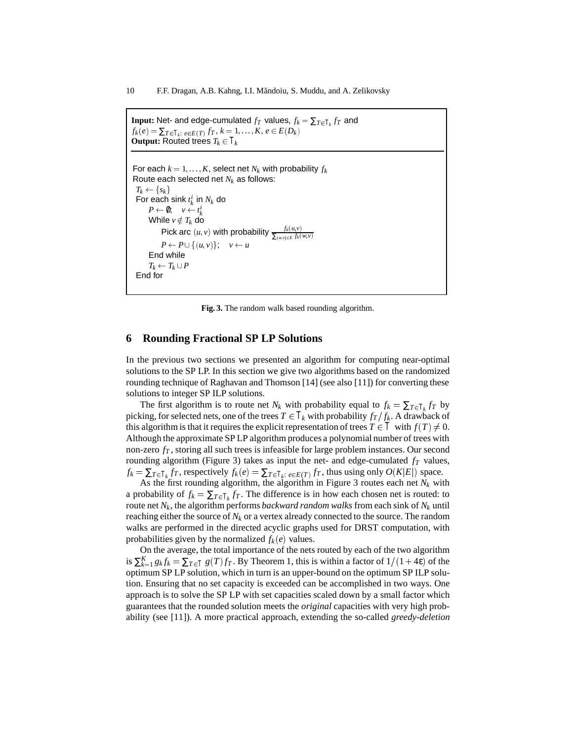```
Input: Net- and edge-cumulated f_T values, f_k = \sum_{T \in T_k} f_T and
f_k(e) = \sum_{T \in T_k: e \in E(T)} f_T, k = 1, \ldots, K, e \in E(D_k)Output: Routed trees T_k \in T_kFor each k = 1, \ldots, K, select net N_k with probability f_kRoute each selected net Nk as follows:
 T_k \leftarrow \{s_k\}For each sink t_k^i in N_k do
       P \leftarrow \emptyset; \quad v \leftarrow t_k^iWhile v \notin T_k do
            Pick arc (u, v) with probability \frac{f_k(u, v)}{\sum_{(w, v) \in E} f_k(w, v)}P \leftarrow P \cup \{(u, v)\}; \quad v \leftarrow uEnd while
      T_k \leftarrow T_k \cup PEnd for
```
**Fig. 3.** The random walk based rounding algorithm.

#### **6 Rounding Fractional SP LP Solutions**

In the previous two sections we presented an algorithm for computing near-optimal solutions to the SP LP. In this section we give two algorithms based on the randomized rounding technique of Raghavan and Thomson [14] (see also [11]) for converting these solutions to integer SP ILP solutions.

The first algorithm is to route net  $N_k$  with probability equal to  $f_k = \sum_{T \in T_k} f_T$  by picking, for selected nets, one of the trees  $T \in T_k$  with probability  $f_T/f_k$ . A drawback of this algorithm is that it requires the explicit representation of trees  $T \in T$  with  $f(T) \neq 0$ . Although the approximate SP LP algorithm produces a polynomial number of trees with non-zero  $f<sub>T</sub>$ , storing all such trees is infeasible for large problem instances. Our second rounding algorithm (Figure 3) takes as input the net- and edge-cumulated  $f<sub>T</sub>$  values,  $f_k = \sum_{T \in T_k} f_T$ , respectively  $f_k(e) = \sum_{T \in T_k} f_{\mathcal{F}}(e)} f_T$ , thus using only  $O(K|E|)$  space.

As the first rounding algorithm, the algorithm in Figure 3 routes each net  $N_k$  with a probability of  $f_k = \sum_{T \in T_k} f_T$ . The difference is in how each chosen net is routed: to route net *Nk*, the algorithm performs *backward random walks* from each sink of *Nk* until reaching either the source of  $N_k$  or a vertex already connected to the source. The random walks are performed in the directed acyclic graphs used for DRST computation, with probabilities given by the normalized  $f_k(e)$  values.

On the average, the total importance of the nets routed by each of the two algorithm is  $\sum_{k=1}^{K} g_k f_k = \sum_{T \in T} g(T) f_T$ . By Theorem 1, this is within a factor of  $1/(1 + 4\varepsilon)$  of the optimum SP LP solution, which in turn is an upper-bound on the optimum SP ILP solution. Ensuring that no set capacity is exceeded can be accomplished in two ways. One approach is to solve the SP LP with set capacities scaled down by a small factor which guarantees that the rounded solution meets the *original* capacities with very high probability (see [11]). A more practical approach, extending the so-called *greedy-deletion*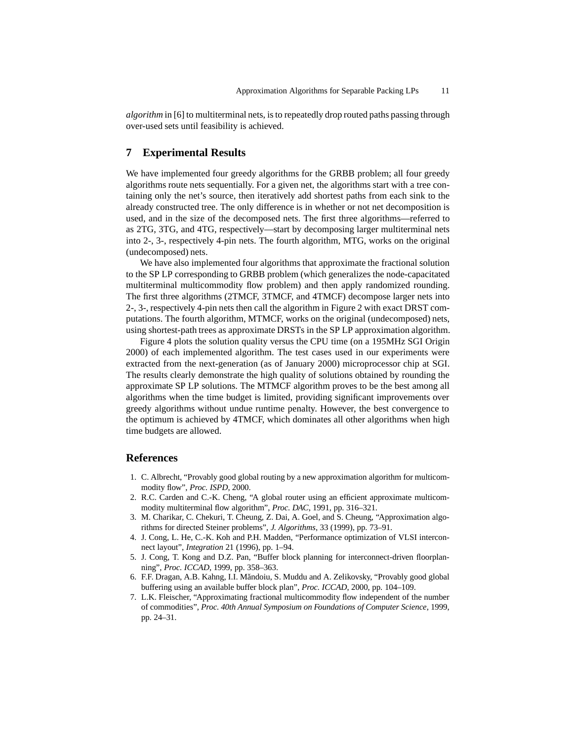*algorithm* in [6] to multiterminal nets, is to repeatedly drop routed paths passing through over-used sets until feasibility is achieved.

# **7 Experimental Results**

We have implemented four greedy algorithms for the GRBB problem; all four greedy algorithms route nets sequentially. For a given net, the algorithms start with a tree containing only the net's source, then iteratively add shortest paths from each sink to the already constructed tree. The only difference is in whether or not net decomposition is used, and in the size of the decomposed nets. The first three algorithms—referred to as 2TG, 3TG, and 4TG, respectively—start by decomposing larger multiterminal nets into 2-, 3-, respectively 4-pin nets. The fourth algorithm, MTG, works on the original (undecomposed) nets.

We have also implemented four algorithms that approximate the fractional solution to the SP LP corresponding to GRBB problem (which generalizes the node-capacitated multiterminal multicommodity flow problem) and then apply randomized rounding. The first three algorithms (2TMCF, 3TMCF, and 4TMCF) decompose larger nets into 2-, 3-, respectively 4-pin nets then call the algorithm in Figure 2 with exact DRST computations. The fourth algorithm, MTMCF, works on the original (undecomposed) nets, using shortest-path trees as approximate DRSTs in the SP LP approximation algorithm.

Figure 4 plots the solution quality versus the CPU time (on a 195MHz SGI Origin 2000) of each implemented algorithm. The test cases used in our experiments were extracted from the next-generation (as of January 2000) microprocessor chip at SGI. The results clearly demonstrate the high quality of solutions obtained by rounding the approximate SP LP solutions. The MTMCF algorithm proves to be the best among all algorithms when the time budget is limited, providing significant improvements over greedy algorithms without undue runtime penalty. However, the best convergence to the optimum is achieved by 4TMCF, which dominates all other algorithms when high time budgets are allowed.

### **References**

- 1. C. Albrecht, "Provably good global routing by a new approximation algorithm for multicommodity flow", *Proc. ISPD*, 2000.
- 2. R.C. Carden and C.-K. Cheng, "A global router using an efficient approximate multicommodity multiterminal flow algorithm", *Proc. DAC*, 1991, pp. 316–321.
- 3. M. Charikar, C. Chekuri, T. Cheung, Z. Dai, A. Goel, and S. Cheung, "Approximation algorithms for directed Steiner problems", *J. Algorithms*, 33 (1999), pp. 73–91.
- 4. J. Cong, L. He, C.-K. Koh and P.H. Madden, "Performance optimization of VLSI interconnect layout", *Integration* 21 (1996), pp. 1–94.
- 5. J. Cong, T. Kong and D.Z. Pan, "Buffer block planning for interconnect-driven floorplanning", *Proc. ICCAD*, 1999, pp. 358–363.
- 6. F.F. Dragan, A.B. Kahng, I.I. M˘andoiu, S. Muddu and A. Zelikovsky, "Provably good global buffering using an available buffer block plan", *Proc. ICCAD*, 2000, pp. 104–109.
- 7. L.K. Fleischer, "Approximating fractional multicommodity flow independent of the number of commodities", *Proc. 40th Annual Symposium on Foundations of Computer Science*, 1999, pp. 24–31.